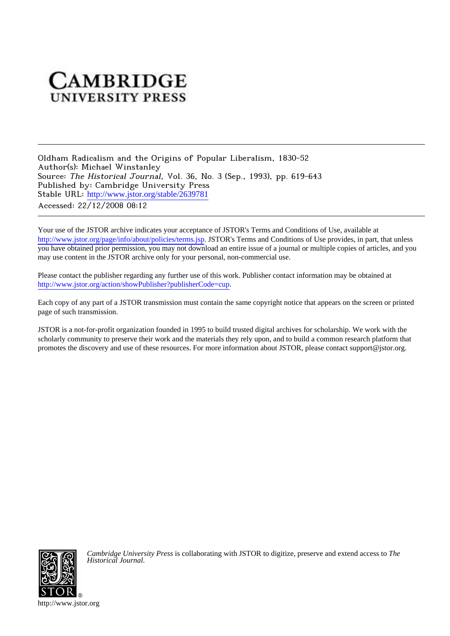# **CAMBRIDGE UNIVERSITY PRESS**

Oldham Radicalism and the Origins of Popular Liberalism, 1830-52 Author(s): Michael Winstanley Source: The Historical Journal, Vol. 36, No. 3 (Sep., 1993), pp. 619-643 Published by: Cambridge University Press Stable URL: [http://www.jstor.org/stable/2639781](http://www.jstor.org/stable/2639781?origin=JSTOR-pdf) Accessed: 22/12/2008 08:12

Your use of the JSTOR archive indicates your acceptance of JSTOR's Terms and Conditions of Use, available at <http://www.jstor.org/page/info/about/policies/terms.jsp>. JSTOR's Terms and Conditions of Use provides, in part, that unless you have obtained prior permission, you may not download an entire issue of a journal or multiple copies of articles, and you may use content in the JSTOR archive only for your personal, non-commercial use.

Please contact the publisher regarding any further use of this work. Publisher contact information may be obtained at <http://www.jstor.org/action/showPublisher?publisherCode=cup>.

Each copy of any part of a JSTOR transmission must contain the same copyright notice that appears on the screen or printed page of such transmission.

JSTOR is a not-for-profit organization founded in 1995 to build trusted digital archives for scholarship. We work with the scholarly community to preserve their work and the materials they rely upon, and to build a common research platform that promotes the discovery and use of these resources. For more information about JSTOR, please contact support@jstor.org.



*Cambridge University Press* is collaborating with JSTOR to digitize, preserve and extend access to *The Historical Journal.*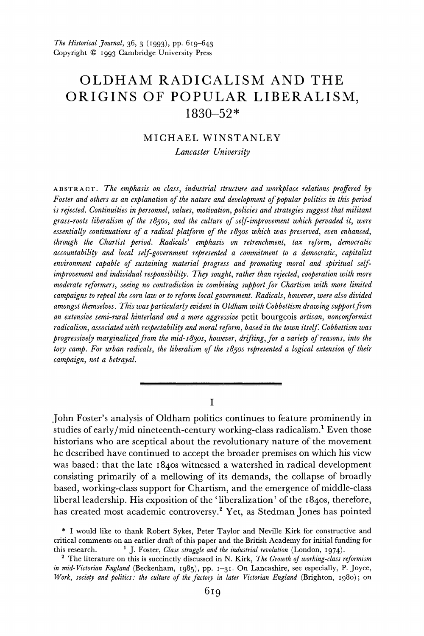# **OLDHAM RADICALISM AND THE ORIGINS OF POPULAR LIBERALISM, 1830-52 \***

# **MICHAEL WINSTANLEY**

**Lancaster University** 

**A B S TRACT. The emphasis on class, industrial structure and workplace relations proffered by Foster and others as an explanation of the nature and development of popular politics in this period is rejected. Continuities in personnel, values, motivation, policies and strategies suggest that militant grass-roots liberalism of the I85os, and the culture of self-improvement which pervaded it, were essentially continuations of a radical platform of the I83os which was preserved, even enhanced, through the Chartist period. Radicals' emphasis on retrenchment, tax reform, democratic accountability and local self-government represented a commitment to a democratic, capitalist environment capable of sustaining material progress and promoting moral and spiritual selfimprovement and individual responsibility. They sought, rather than rejected, cooperation with more moderate reformers, seeing no contradiction in combining support for Chartism with more limited campaigns to repeal the corn law or to reform local government. Radicals, however, were also divided**  amongst themselves. This was particularly evident in Oldham with Cobbettism drawing support from **an extensive semi-rural hinterland and a more aggressive petit bourgeois artisan, nonconformist radicalism, associated with respectability and moral reform, based in the town itself. Cobbettism was**  progressively marginalized from the mid-1830s, however, drifting, for a variety of reasons, into the **tory camp. For urban radicals, the liberalism of the I85os represented a logical extension of their campaign, not a betrayal.** 

**I** 

**John Foster's analysis of Oldham politics continues to feature prominently in studies of early/mid nineteenth-century working-class radicalism.' Even those historians who are sceptical about the revolutionary nature of the movement he described have continued to accept the broader premises on which his view was based: that the late i 840S witnessed a watershed in radical development consisting primarily of a mellowing of its demands, the collapse of broadly based, working-class support for Chartism, and the emergence of middle-class liberal leadership. His exposition of the 'liberalization' of the I 840s, therefore, has created most academic controversy.2 Yet, as Stedman Jones has pointed** 

**<sup>\*</sup> I would like to thank Robert Sykes, Peter Taylor and Neville Kirk for constructive and critical comments on an earlier draft of this paper and the British Academy for initial funding for this research. ' J. Foster, Class struggle and the industrial revolution (London, 1974).** 

**<sup>2</sup>The literature on this is succinctly discussed in N. Kirk, The Growth of working-class reformism in mid- Victorian England (Beckenham, I985), pp. I-3I. On Lancashire, see especially, P. Joyce, Work, society and politics: the culture of the factory in later Victorian England (Brighton, i98o); on**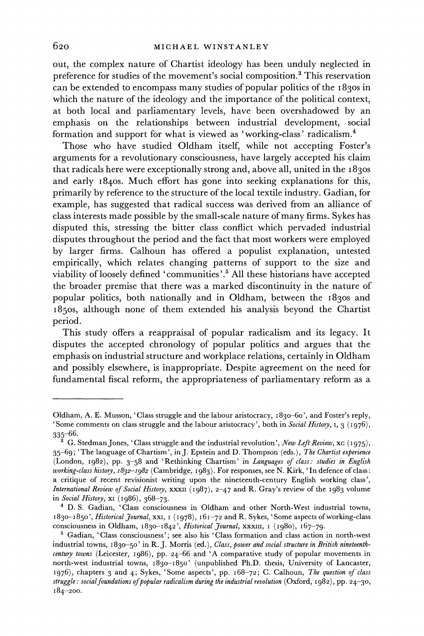# **620 MICHAEL WINSTANLEY**

**out, the complex nature of Chartist ideology has been unduly neglected in preference for studies of the movement's social composition.3 This reservation can be extended to encompass many studies of popular politics of the i 830s in**  which the nature of the ideology and the importance of the political context, **at both local and parliamentary levels, have been overshadowed by an emphasis on the relationships between industrial development, social formation and support for what is viewed as 'working-class' radicalism.4** 

**Those who have studied Oldham itself, while not accepting Foster's arguments for a revolutionary consciousness, have largely accepted his claim that radicals here were exceptionally strong and, above all, united in the I 830s and early i 840s. Much effort has gone into seeking explanations for this, primarily by reference to the structure of the local textile industry. Gadian, for example, has suggested that radical success was derived from an alliance of class interests made possible by the small-scale nature of many firms. Sykes has disputed this, stressing the bitter class conflict which pervaded industrial disputes throughout the period and the fact that most workers were employed by larger firms. Calhoun has offered a populist explanation, untested empirically, which relates changing patterns of support to the size and**  viability of loosely defined 'communities'.<sup>5</sup> All these historians have accepted **the broader premise that there was a marked discontinuity in the nature of popular politics, both nationally and in Oldham, between the I83os and I85os, although none of them extended his analysis beyond the Chartist period.** 

**This study offers a reappraisal of popular radicalism and its legacy. It disputes the accepted chronology of popular politics and argues that the emphasis on industrial structure and workplace relations, certainly in Oldham and possibly elsewhere, is inappropriate. Despite agreement on the need for fundamental fiscal reform, the appropriateness of parliamentary reform as a** 

**Oldham, A. E. Musson, 'Class struggle and the labour aristocracy, I83o-6o', and Foster's reply, 'Some comments on class struggle and the labour aristocracy', both in Social History, I, 3 (I976), 335-66.** 

 $\overline{3}$  G. Stedman Jones, 'Class struggle and the industrial revolution', New Left Review, xc  $(1975)$ , **35-69; 'The language of Chartism', in J. Epstein and D. Thompson (eds.), The Chartist experience (London, I982), pp. 3-58 and 'Rethinking Chartism' in Languages of class: studies in English working-class history, i83-I982 (Cambridge, i 983). For responses, see N. Kirk, 'In defence of class: a critique of recent revisionist writing upon the nineteenth-century English working class', International Review of Social History, XXXII (I987), 2-47 and R. Gray's review of the I983 volume in Social History, xi (I986), 368-73.** 

**<sup>4</sup>D. S. Gadian, 'Class consciousness in Oldham and other North-West industrial towns, I 83o-i 850', Historical journal, xxi, i (I 978), I 6 I-72 and R. Sykes, 'Some aspects of working-class consciousness in Oldham, I830-I842', Historical journal, XXXIII, I (I980), I67-79.** 

**<sup>5</sup>Gadian, 'Class consciousness'; see also his 'Class formation and class action in north-west**  industrial towns,  $1830-50$ ' in R. J. Morris (ed.), Class, power and social structure in British nineteenth**century towns (Leicester, I986), pp. 24-66 and 'A comparative study of popular movements in north-west industrial towns, I830-i850' (unpublished Ph.D. thesis, University of Lancaster, I976), chapters 3 and 4; Sykes, 'Some aspects', pp. I68-72; C. Calhoun, The question of class struggle: socialfoundations ofpopular radicalism during the industrial revolution (Oxford, I982), pp. 24-30, I84-200.**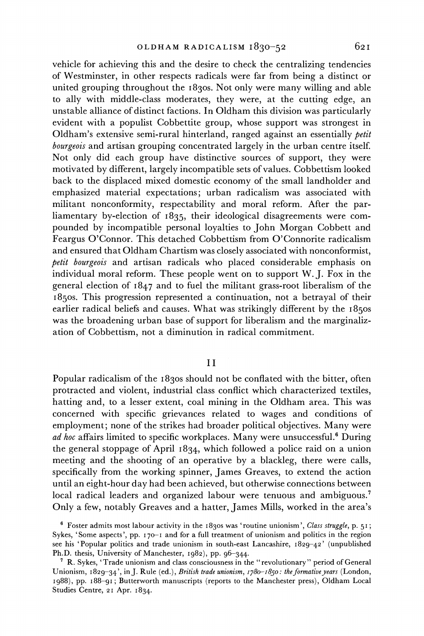**vehicle for achieving this and the desire to check the centralizing tendencies of Westminster, in other respects radicals were far from being a distinct or united grouping throughout the I830s. Not only were many willing and able to ally with middle-class moderates, they were, at the cutting edge, an unstable alliance of distinct factions. In Oldham this division was particularly evident with a populist Cobbettite group, whose support was strongest in Oldham's extensive semi-rural hinterland, ranged against an essentially petit bourgeois and artisan grouping concentrated largely in the urban centre itself. Not only did each group have distinctive sources of support, they were motivated by different, largely incompatible sets of values. Cobbettism looked back to the displaced mixed domestic economy of the small landholder and emphasized material expectations; urban radicalism was associated with militant nonconformity, respectability and moral reform. After the parliamentary by-election of I835, their ideological disagreements were compounded by incompatible personal loyalties to John Morgan Cobbett and Feargus O'Connor. This detached Cobbettism from O'Connorite radicalism and ensured that Oldham Chartism was closely associated with nonconformist, petit bourgeois and artisan radicals who placed considerable emphasis on individual moral reform. These people went on to support W. J. Fox in the general election of I847 and to fuel the militant grass-root liberalism of the I850s. This progression represented a continuation, not a betrayal of their earlier radical beliefs and causes. What was strikingly different by the I850s was the broadening urban base of support for liberalism and the marginalization of Cobbettism, not a diminution in radical commitment.** 

#### **II**

**Popular radicalism of the I830s should not be conflated with the bitter, often protracted and violent, industrial class conflict which characterized textiles, hatting and, to a lesser extent, coal mining in the Oldham area. This was concerned with specific grievances related to wages and conditions of employment; none of the strikes had broader political objectives. Many were ad hoc affairs limited to specific workplaces. Many were unsuccessful.6 During the general stoppage of April I834, which followed a police raid on a union meeting and the shooting of an operative by a blackleg, there were calls, specifically from the working spinner, James Greaves, to extend the action until an eight-hour day had been achieved, but otherwise connections between local radical leaders and organized labour were tenuous and ambiguous.7 Only a few, notably Greaves and a hatter, James Mills, worked in the area's** 

**<sup>6</sup> Foster admits most labour activity in the I830s was 'routine unionism', Class struggle, p. 5I; Sykes, 'Some aspects', pp. I 70-I and for a full treatment of unionism and politics in the region see his 'Popular politics and trade unionism in south-east Lancashire, I829-42' (unpublished Ph.D. thesis, University of Manchester, I982), pp. 96-344.** 

**<sup>7</sup>R. Sykes, 'Trade unionism and class consciousness in the "revolutionary" period of General**  Unionism,  $1829-34'$ ,  $\text{in}$  J. Rule (ed.), *British trade unionism*,  $1780-1850$ : the formative years (London, **I988), pp. I88-9I; Butterworth manuscripts (reports to the Manchester press), Oldham Local Studies Centre, 2I Apr. I834.**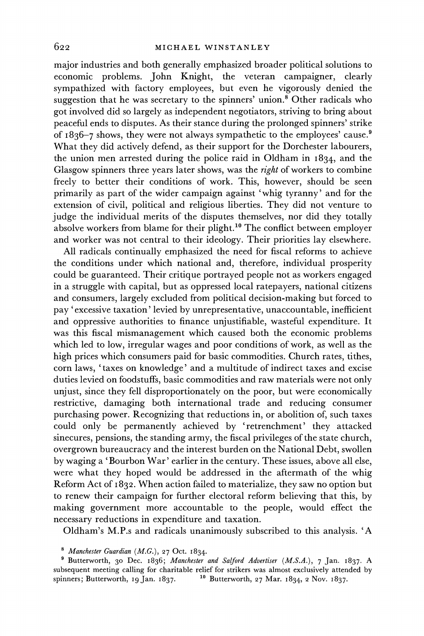**major industries and both generally emphasized broader political solutions to economic problems. John Knight, the veteran campaigner, clearly sympathized with factory employees, but even he vigorously denied the suggestion that he was secretary to the spinners' union.8 Other radicals who got involved did so largely as independent negotiators, striving to bring about peaceful ends to disputes. As their stance during the prolonged spinners' strike of i836-7 shows, they were not always sympathetic to the employees' cause.9 What they did actively defend, as their support for the Dorchester labourers, the union men arrested during the police raid in Oldham in I834, and the Glasgow spinners three years later shows, was the right of workers to combine freely to better their conditions of work. This, however, should be seen primarily as part of the wider campaign against 'whig tyranny' and for the extension of civil, political and religious liberties. They did not venture to judge the individual merits of the disputes themselves, nor did they totally absolve workers from blame for their plight.'0 The conflict between employer and worker was not central to their ideology. Their priorities lay elsewhere.** 

**All radicals continually emphasized the need for fiscal reforms to achieve the conditions under which national and, therefore, individual prosperity could be guaranteed. Their critique portrayed people not as workers engaged in a struggle with capital, but as oppressed local ratepayers, national citizens and consumers, largely excluded from political decision-making but forced to pay 'excessive taxation' levied by unrepresentative, unaccountable, inefficient and oppressive authorities to finance unjustifiable, wasteful expenditure. It was this fiscal mismanagement which caused both the economic problems which led to low, irregular wages and poor conditions of work, as well as the high prices which consumers paid for basic commodities. Church rates, tithes, corn laws, 'taxes on knowledge' and a multitude of indirect taxes and excise duties levied on foodstuffs, basic commodities and raw materials were not only unjust, since they fell disproportionately on the poor, but were economically restrictive, damaging both international trade and reducing consumer purchasing power. Recognizing that reductions in, or abolition of, such taxes could only be permanently achieved by 'retrenchment' they attacked sinecures, pensions, the standing army, the fiscal privileges of the state church, overgrown bureaucracy and the interest burden on the National Debt, swollen by waging a 'Bourbon War' earlier in the century. These issues, above all else, were what they hoped would be addressed in the aftermath of the whig Reform Act of I832. When action failed to materialize, they saw no option but to renew their campaign for further electoral reform believing that this, by making government more accountable to the people, would effect the necessary reductions in expenditure and taxation.** 

**Oldham's M.P.s and radicals unanimously subscribed to this analysis. 'A** 

**<sup>8</sup> Manchester Guardian (M.G.), 27 Oct. I834.** 

**<sup>&#</sup>x27; Butterworth, 30 Dec. I836; Manchester and Salford Advertiser (M.S.A.), 7 Jan. I837. A subsequent meeting calling for charitable relief for strikers was almost exclusively attended by**  spinners; Butterworth, 19 Jan. 1837. <sup>10</sup> Butterworth, 27 Mar. 1834, 2 Nov. 1837.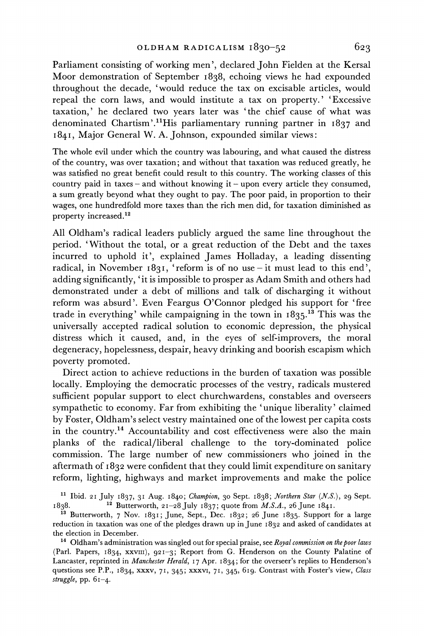**Parliament consisting of working men', declared John Fielden at the Kersal Moor demonstration of September i 838, echoing views he had expounded throughout the decade, 'would reduce the tax on excisable articles, would repeal the corn laws, and would institute a tax on property.' 'Excessive taxation,' he declared two years later was 'the chief cause of what was denominated Chartism'."His parliamentary running partner in I837 and I84I, Major General W. A. Johnson, expounded similar views:** 

**The whole evil under which the country was labouring, and what caused the distress of the country, was over taxation; and without that taxation was reduced greatly, he was satisfied no great benefit could result to this country. The working classes of this**  country paid in taxes – and without knowing it – upon every article they consumed, **a sum greatly beyond what they ought to pay. The poor paid, in proportion to their wages, one hundredfold more taxes than the rich men did, for taxation diminished as property increased.'2** 

**All Oldham's radical leaders publicly argued the same line throughout the period. 'Without the total, or a great reduction of the Debt and the taxes incurred to uphold it', explained James Holladay, a leading dissenting**  radical, in November  $1831$ , 'reform is of no use  $-$  it must lead to this end', **adding significantly, 'it is impossible to prosper as Adam Smith and others had demonstrated under a debt of millions and talk of discharging it without reform was absurd'. Even Feargus O'Connor pledged his support for 'free trade in everything' while campaigning in the town in i835.'3 This was the universally accepted radical solution to economic depression, the physical distress which it caused, and, in the eyes of self-improvers, the moral degeneracy, hopelessness, despair, heavy drinking and boorish escapism which poverty promoted.** 

**Direct action to achieve reductions in the burden of taxation was possible locally. Employing the democratic processes of the vestry, radicals mustered sufficient popular support to elect churchwardens, constables and overseers sympathetic to economy. Far from exhibiting the 'unique liberality' claimed by Foster, Oldham's select vestry maintained one of the lowest per capita costs in the country.'4 Accountability and cost effectiveness were also the main planks of the radical/liberal challenge to the tory-dominated police commission. The large number of new commissioners who joined in the aftermath of I832 were confident that they could limit expenditure on sanitary reform, lighting, highways and market improvements and make the police** 

**" Ibid. 2I July i837, 3i Aug. I840; Champion, 30 Sept. i838; Northern Star (N.S.), 29 Sept. i838. 12 Butterworth, 2I-28July I837; quote from M.S.A., 26June I841.** 

**<sup>14</sup>Oldham's administration was singled out for special praise, see Royal commission on the poor laws (Parl. Papers, i834, xxvIII), 92I-3; Report from G. Henderson on the County Palatine of**  Lancaster, reprinted in *Manchester Herald*, **17 Apr. 1834; for the overseer's replies to Henderson's questions see P.P., i834, xxxv, 7I, 345; xxxvI, 7I, 345, 6ig. Contrast with Foster's view, Class struggle, pp. 6I-4.** 

**<sup>13</sup>Butterworth, 7 Nov. i83i; June, Sept., Dec. i832; 26 June i835. Support for a large reduction in taxation was one of the pledges drawn up in June i832 and asked of candidates at the election in December.**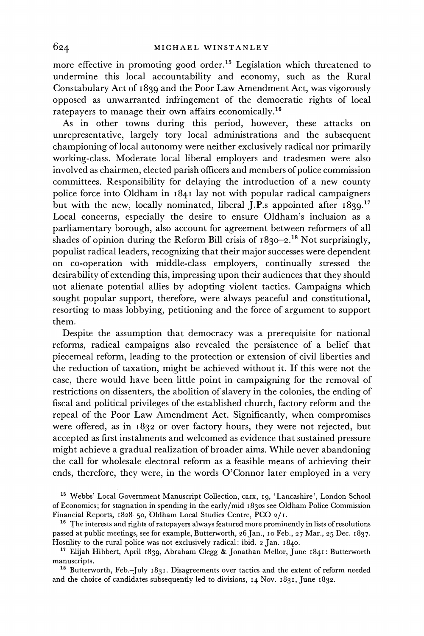**more effective in promoting good order.'5 Legislation which threatened to undermine this local accountability and economy, such as the Rural Constabulary Act of I839 and the Poor Law Amendment Act, was vigorously opposed as unwarranted infringement of the democratic rights of local ratepayers to manage their own affairs economically.'6** 

**As in other towns during this period, however, these attacks on unrepresentative, largely tory local administrations and the subsequent championing of local autonomy were neither exclusively radical nor primarily working-class. Moderate local liberal employers and tradesmen were also involved as chairmen, elected parish officers and members of police commission committees. Responsibility for delaying the introduction of a new county police force into Oldham in I84I lay not with popular radical campaigners but with the new, locally nominated, liberal J.P.s appointed after**  $\frac{1839^{17}}{60}$ **Local concerns, especially the desire to ensure Oldham's inclusion as a parliamentary borough, also account for agreement between reformers of all shades of opinion during the Reform Bill crisis of i 830-2.18 Not surprisingly, populist radical leaders, recognizing that their major successes were dependent on co-operation with middle-class employers, continually stressed the desirability of extending this, impressing upon their audiences that they should not alienate potential allies by adopting violent tactics. Campaigns which sought popular support, therefore, were always peaceful and constitutional, resorting to mass lobbying, petitioning and the force of argument to support them.** 

**Despite the assumption that democracy was a prerequisite for national reforms, radical campaigns also revealed the persistence of a belief that piecemeal reform, leading to the protection or extension of civil liberties and the reduction of taxation, might be achieved without it. If this were not the case, there would have been little point in campaigning for the removal of restrictions on dissenters, the abolition of slavery in the colonies, the ending of fiscal and political privileges of the established church, factory reform and the repeal of the Poor Law Amendment Act. Significantly, when compromises were offered, as in I832 or over factory hours, they were not rejected, but accepted as first instalments and welcomed as evidence that sustained pressure might achieve a gradual realization of broader aims. While never abandoning the call for wholesale electoral reform as a feasible means of achieving their ends, therefore, they were, in the words O'Connor later employed in a very** 

**<sup>15</sup> Webbs' Local Government Manuscript Collection, CLIX, I9, 'Lancashire', London School**  of Economics; for stagnation in spending in the early/mid 1830s see Oldham Police Commission **Financial Reports, I828-50, Oldham Local Studies Centre, PCO 2/I.** 

**<sup>16</sup> The interests and rights of ratepayers always featured more prominently in lists of resolutions passed at public meetings, see for example, Butterworth, 26Jan., IO Feb., 27 Mar., 25 Dec. i837. Hostility to the rural police was not exclusively radical: ibid. 2 Jan. I840.** 

**<sup>17</sup>Elijah Hibbert, April I839, Abraham Clegg & Jonathan Mellor, June i841: Butterworth manuscripts.** 

**<sup>18</sup>Butterworth, Feb.-July i83I. Disagreements over tactics and the extent of reform needed and the choice of candidates subsequently led to divisions, I4 Nov. i83I, June i832.**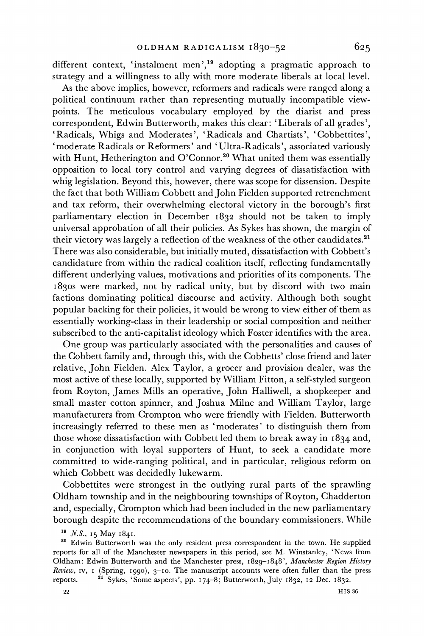**different context, 'instalment men ',19 adopting a pragmatic approach to strategy and a willingness to ally with more moderate liberals at local level.** 

**As the above implies, however, reformers and radicals were ranged along a political continuum rather than representing mutually incompatible viewpoints. The meticulous vocabulary employed by the diarist and press correspondent, Edwin Butterworth, makes this clear: 'Liberals of all grades', 'Radicals, Whigs and Moderates', 'Radicals and Chartists', 'Cobbettites', 'moderate Radicals or Reformers' and 'Ultra-Radicals', associated variously**  with Hunt, Hetherington and O'Connor.<sup>20</sup> What united them was essentially **opposition to local tory control and varying degrees of dissatisfaction with whig legislation. Beyond this, however, there was scope for dissension. Despite the fact that both William Cobbett and John Fielden supported retrenchment and tax reform, their overwhelming electoral victory in the borough's first parliamentary election in December 1832 should not be taken to imply universal approbation of all their policies. As Sykes has shown, the margin of their victory was largely a reflection of the weakness of the other candidates.2' There was also considerable, but initially muted, dissatisfaction with Cobbett's candidature from within the radical coalition itself, reflecting fundamentally different underlying values, motivations and priorities of its components. The I830s were marked, not by radical unity, but by discord with two main factions dominating political discourse and activity. Although both sought popular backing for their policies, it would be wrong to view either of them as essentially working-class in their leadership or social composition and neither subscribed to the anti-capitalist ideology which Foster identifies with the area.** 

**One group was particularly associated with the personalities and causes of the Cobbett family and, through this, with the Cobbetts' close friend and later relative, John Fielden. Alex Taylor, a grocer and provision dealer, was the most active of these locally, supported by William Fitton, a self-styled surgeon from Royton, James Mills an operative, John Halliwell, a shopkeeper and small master cotton spinner, and Joshua Milne and William Taylor, large manufacturers from Crompton who were friendly with Fielden. Butterworth increasingly referred to these men as 'moderates' to distinguish them from those whose dissatisfaction with Cobbett led them to break away in I 834 and, in conjunction with loyal supporters of Hunt, to seek a candidate more committed to wide-ranging political, and in particular, religious reform on which Cobbett was decidedly lukewarm.** 

**Cobbettites were strongest in the outlying rural parts of the sprawling Oldham township and in the neighbouring townships of Royton, Chadderton and, especially, Crompton which had been included in the new parliamentary borough despite the recommendations of the boundary commissioners. While** 

**i N.S., I5 May I84I.** 

**<sup>20</sup>Edwin Butterworth was the only resident press correspondent in the town. He supplied reports for all of the Manchester newspapers in this period, see M. Winstanley, 'News from Oldham: Edwin Butterworth and the Manchester press, I829-I848', Manchester Region History Review, iv, I (Spring, I99O), 3-IO. The manuscript accounts were often fuller than the press reports. 21 Sykes, 'Some aspects', pp. I74-8; Butterworth, July I832, I2 Dec. I832.**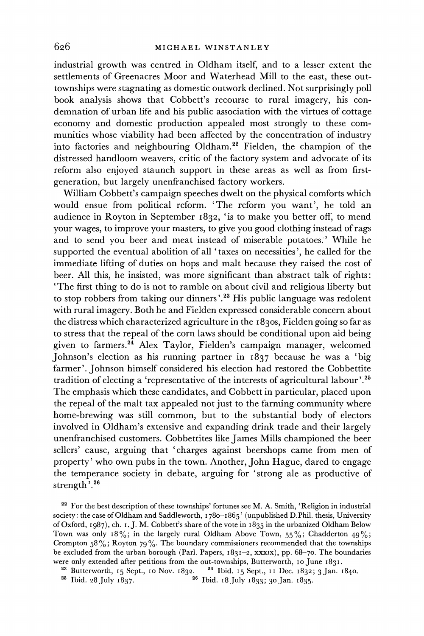**industrial growth was centred in Oldham itself, and to a lesser extent the settlements of Greenacres Moor and Waterhead Mill to the east, these outtownships were stagnating as domestic outwork declined. Not surprisingly poll book analysis shows that Cobbett's recourse to rural imagery, his condemnation of urban life and his public association with the virtues of cottage economy and domestic production appealed most strongly to these communities whose viability had been affected by the concentration of industry into factories and neighbouring Oldham.22 Fielden, the champion of the distressed handloom weavers, critic of the factory system and advocate of its reform also enjoyed staunch support in these areas as well as from firstgeneration, but largely unenfranchised factory workers.** 

**William Cobbett's campaign speeches dwelt on the physical comforts which would ensue from political reform. 'The reform you want', he told an audience in Royton in September I832, 'is to make you better off, to mend your wages, to improve your masters, to give you good clothing instead of rags and to send you beer and meat instead of miserable potatoes.' While he supported the eventual abolition of all 'taxes on necessities', he called for the immediate lifting of duties on hops and malt because they raised the cost of beer. All this, he insisted, was more significant than abstract talk of rights: 'The first thing to do is not to ramble on about civil and religious liberty but to stop robbers from taking our dinners'.23 His public language was redolent with rural imagery. Both he and Fielden expressed considerable concern about the distress which characterized agriculture in the i 83os, Fielden going so far as to stress that the repeal of the corn laws should be conditional upon aid being given to farmers.24 Alex Taylor, Fielden's campaign manager, welcomed Johnson's election as his running partner in I837 because he was a 'big farmer'. Johnson himself considered his election had restored the Cobbettite tradition of electing a 'representative of the interests of agricultural labour"'.25 The emphasis which these candidates, and Cobbett in particular, placed upon the repeal of the malt tax appealed not just to the farming community where home-brewing was still common, but to the substantial body of electors involved in Oldham's extensive and expanding drink trade and their largely unenfranchised customers. Cobbettites like James Mills championed the beer sellers' cause, arguing that 'charges against beershops came from men of property' who own pubs in the town. Another, John Hague, dared to engage the temperance society in debate, arguing for 'strong ale as productive of strength .2** 

**<sup>22</sup>For the best description of these townships' fortunes see M. A. Smith, 'Religion in industrial society: the case of Oldham and Saddleworth, I780-I865' (unpublished D.Phil. thesis, University of Oxford, i987), ch. i.J. M. Cobbett's share of the vote in i835 in the urbanized Oldham Below Town was only i8 %; in the largely rural Oldham Above Town, 55%; Chadderton 49%; Crompton 58 %; Royton 79 %. The boundary commissioners recommended that the townships be excluded from the urban borough (Parl. Papers, i831-2, XXXIX), pp. 68-7o. The boundaries were only extended after petitions from the out-townships, Butterworth, io June i83I.** 

**<sup>23</sup>Butterworth, I5 Sept., io Nov. I832. 24 Ibid. I5 Sept., ii Dec. I832; 3 Jan. I840.** 

**25 Ibid. 28July i837. 26 Ibid. i8July i833; 30Jan. i835.**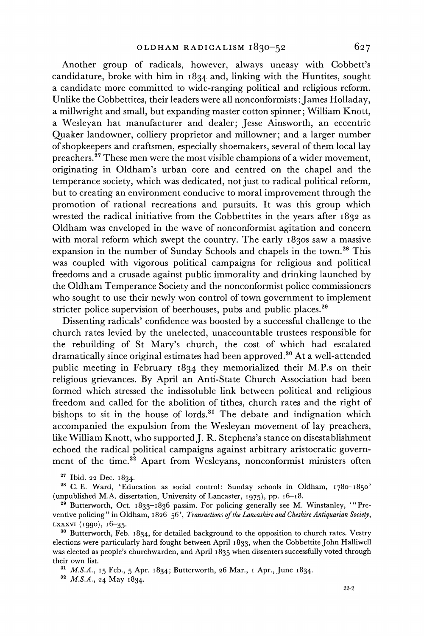**Another group of radicals, however, always uneasy with Cobbett's candidature, broke with him in I834 and, linking with the Huntites, sought a candidate more committed to wide-ranging political and religious reform.**  Unlike the Cobbettites, their leaders were all nonconformists: James Holladay, **a millwright and small, but expanding master cotton spinner; William Knott, a Wesleyan hat manufacturer and dealer; Jesse Ainsworth, an eccentric Quaker landowner, colliery proprietor and millowner; and a larger number of shopkeepers and craftsmen, especially shoemakers, several of them local lay preachers.27 These men were the most visible champions of a wider movement, originating in Oldham's urban core and centred on the chapel and the temperance society, which was dedicated, not just to radical political reform, but to creating an environment conducive to moral improvement through the promotion of rational recreations and pursuits. It was this group which wrested the radical initiative from the Cobbettites in the years after I832 as Oldham was enveloped in the wave of nonconformist agitation and concern with moral reform which swept the country. The early I830s saw a massive expansion in the number of Sunday Schools and chapels in the town.28 This was coupled with vigorous political campaigns for religious and political freedoms and a crusade against public immorality and drinking launched by the Oldham Temperance Society and the nonconformist police commissioners who sought to use their newly won control of town government to implement stricter police supervision of beerhouses, pubs and public places.29** 

**Dissenting radicals' confidence was boosted by a successful challenge to the church rates levied by the unelected, unaccountable trustees responsible for the rebuilding of St Mary's church, the cost of which had escalated dramatically since original estimates had been approved.30 At a well-attended public meeting in February I834 they memorialized their M.P.s on their religious grievances. By April an Anti-State Church Association had been formed which stressed the indissoluble link between political and religious freedom and called for the abolition of tithes, church rates and the right of bishops to sit in the house of lords.3' The debate and indignation which accompanied the expulsion from the Wesleyan movement of lay preachers, like William Knott, who supported J. R. Stephens's stance on disestablishment echoed the radical political campaigns against arbitrary aristocratic government of the time.32 Apart from Wesleyans, nonconformist ministers often** 

**<sup>27</sup>Ibid. 22 Dec. I834.** 

**<sup>28</sup>C. E. Ward, 'Education as social control: Sunday schools in Oldham, I780-I850' (unpublished M.A. dissertation, University of Lancaster, I975), pp. I6-I8.** 

**29 Butterworth, Oct. I833-I836 passim. For policing generally see M. Winstanley, "'Preventive policing" in Oldham, I 826-56', Transactions of the Lancashire and Cheshire Antiquarian Society, LXXXVI (I990), I6-35-** 

**<sup>30</sup>Butterworth, Feb. I834, for detailed background to the opposition to church rates. Vestry elections were particularly hard fought between April I833, when the Cobbettite John Halliwell was elected as people's churchwarden, and April I 835 when dissenters successfully voted through their own list.** 

**<sup>31</sup>M.S.A., I5 Feb., 5 Apr. I834; Butterworth, 26 Mar., I Apr., June I834.** 

**<sup>32</sup>M.S.A., 24 May I834-**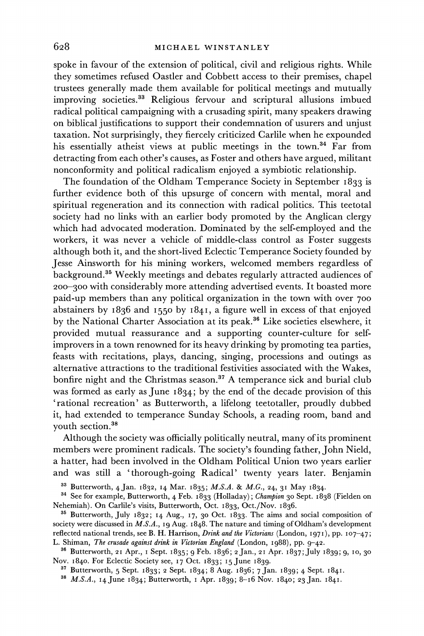**spoke in favour of the extension of political, civil and religious rights. While they sometimes refused Oastler and Cobbett access to their premises, chapel trustees generally made them available for political meetings and mutually improving societies.33 Religious fervour and scriptural allusions imbued radical political campaigning with a crusading spirit, many speakers drawing on biblical justifications to support their condemnation of usurers and unjust taxation. Not surprisingly, they fiercely criticized Carlile when he expounded his essentially atheist views at public meetings in the town.34 Far from detracting from each other's causes, as Foster and others have argued, militant nonconformity and political radicalism enjoyed a symbiotic relationship.** 

**The foundation of the Oldham Temperance Society in September I833 is further evidence both of this upsurge of concern with mental, moral and spiritual regeneration and its connection with radical politics. This teetotal society had no links with an earlier body promoted by the Anglican clergy which had advocated moderation. Dominated by the self-employed and the workers, it was never a vehicle of middle-class control as Foster suggests although both it, and the short-lived Eclectic Temperance Society founded by Jesse Ainsworth for his mining workers, welcomed members regardless of background.35 Weekly meetings and debates regularly attracted audiences of 200-300 with considerably more attending advertised events. It boasted more paid-up members than any political organization in the town with over 700 abstainers by I836 and I550 by I84I, a figure well in excess of that enjoyed by the National Charter Association at its peak.36 Like societies elsewhere, it provided mutual reassurance and a supporting counter-culture for selfimprovers in a town renowned for its heavy drinking by promoting tea parties, feasts with recitations, plays, dancing, singing, processions and outings as alternative attractions to the traditional festivities associated with the Wakes, bonfire night and the Christmas season.37 A temperance sick and burial club was formed as early as June I834; by the end of the decade provision of this 'rational recreation' as Butterworth, a lifelong teetotaller, proudly dubbed it, had extended to temperance Sunday Schools, a reading room, band and youth section.38** 

**Although the society was officially politically neutral, many of its prominent members were prominent radicals. The society's founding father, John Nield, a hatter, had been involved in the Oldham Political Union two years earlier and was still a 'thorough-going Radical' twenty years later. Benjamin** 

**<sup>3</sup>Butterworth, 4Jan. i832, I4 Mar. i835; M.S.A. & M.G., 24, 3I May i834.** 

**<sup>34</sup>See for example, Butterworth, 4 Feb. i833 (Holladay); Champion 30 Sept. i838 (Fielden on Nehemiah). On Carlile's visits, Butterworth, Oct. i833, Oct./Nov. i836.** 

**<sup>3</sup>Butterworth, July i832; I4 Aug., I7, 30 Oct. i833. The aims and social composition of society were discussed in M.S.A., i9 Aug. i848. The nature and timing of Oldham's development reflected national trends, see B. H. Harrison, Drink and the Victorians (London, I 97 ), pp. I 07-47; L. Shiman, The crusade against drink in Victorian England (London, i988), pp. 9-42.** 

**36 Butterworth, 2I Apr., I Sept. I835; 9 Feb. I836; 2 Jan., 2 I Apr. i837; July I839; 9, I0, 30**  Nov. 1840. For Eclectic Society see, 17 Oct. 1833; 15 June 1839.

**<sup>3</sup>Butterworth, 5 Sept. I833; 2 Sept. I834; 8 Aug. I836; 7 Jan. I839; 4 Sept. I84I.** 

**38 M.S.A., I4June I834; Butterworth, I Apr. I839; 8-i6 Nov. I840; 23 Jan. I84I.**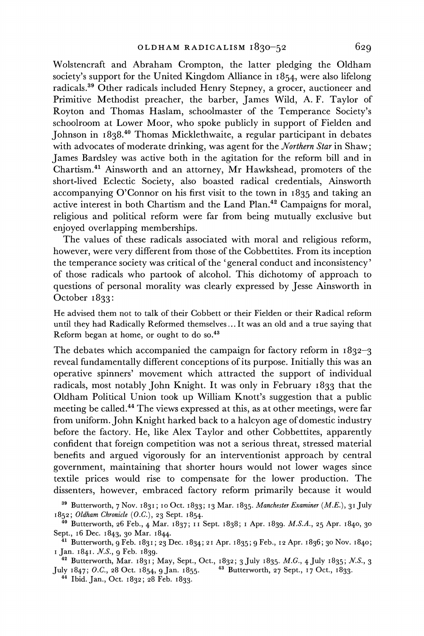**Wolstencraft and Abraham Crompton, the latter pledging the Oldham society's support for the United Kingdom Alliance in I854, were also lifelong radicals.39 Other radicals included Henry Stepney, a grocer, auctioneer and Primitive Methodist preacher, the barber, James Wild, A. F. Taylor of Royton and Thomas Haslam, schoolmaster of the Temperance Society's schoolroom at Lower Moor, who spoke publicly in support of Fielden and Johnson in I83840 Thomas Micklethwaite, a regular participant in debates with advocates of moderate drinking, was agent for the Northern Star in Shaw; James Bardsley was active both in the agitation for the reform bill and in**  Chartism.<sup>41</sup> Ainsworth and an attorney, Mr Hawkshead, promoters of the **short-lived Eclectic Society, also boasted radical credentials, Ainsworth accompanying O'Connor on his first visit to the town in I835 and taking an active interest in both Chartism and the Land Plan.42 Campaigns for moral, religious and political reform were far from being mutually exclusive but enjoyed overlapping memberships.** 

**The values of these radicals associated with moral and religious reform, however, were very different from those of the Cobbettites. From its inception the temperance society was critical of the 'general conduct and inconsistency' of those radicals who partook of alcohol. This dichotomy of approach to questions of personal morality was clearly expressed by Jesse Ainsworth in October I833:** 

**He advised them not to talk of their Cobbett or their Fielden or their Radical reform until they had Radically Reformed themselves... It was an old and a true saying that Reform began at home, or ought to do so.43** 

**The debates which accompanied the campaign for factory reform in I832-3 reveal fundamentally different conceptions of its purpose. Initially this was an operative spinners' movement which attracted the support of individual radicals, most notably John Knight. It was only in February I833 that the Oldham Political Union took up William Knott's suggestion that a public meeting be called.44 The views expressed at this, as at other meetings, were far from uniform. John Knight harked back to a halcyon age of domestic industry before the factory. He, like Alex Taylor and other Cobbettites, apparently confident that foreign competition was not a serious threat, stressed material benefits and argued vigorously for an interventionist approach by central government, maintaining that shorter hours would not lower wages since textile prices would rise to compensate for the lower production. The dissenters, however, embraced factory reform primarily because it would** 

**39 Butterworth, 7 Nov. i83I; IO Oct. i833; I3 Mar. i835. Manchester Examiner (M.E.), 3I July I852; Oldham Chronicle (O.C.), 23 Sept. I854.** 

<sup>40</sup> Butterworth, 26 Feb., 4 Mar. 1837; 11 Sept. 1838; 1 Apr. 1839. M.S.A., 25 Apr. 1840, 30 **Sept., I 6 Dec. I 843, 30 Mar. I 844.** 

 $^{41}$  Butterworth, 9 Feb. 1831; 23 Dec. 1834; 21 Apr. 1835; 9 Feb., 12 Apr. 1836; 30 Nov. 1840; **I Jan. I84I. JN.S., 9 Feb. I839.** 

**<sup>42</sup>Butterworth, Mar. I83I; May, Sept., Oct., I832; 3 July I835. M.G., 4 July I835; JN.S., 3 July I 847; O.C., 28 Oct. I 854, 9 Jan. I 855. 43 Butterworth, 27 Sept., I7 Oct., I833.** 

**<sup>44</sup>Ibid. Jan., Oct. I832; 28 Feb. I833.**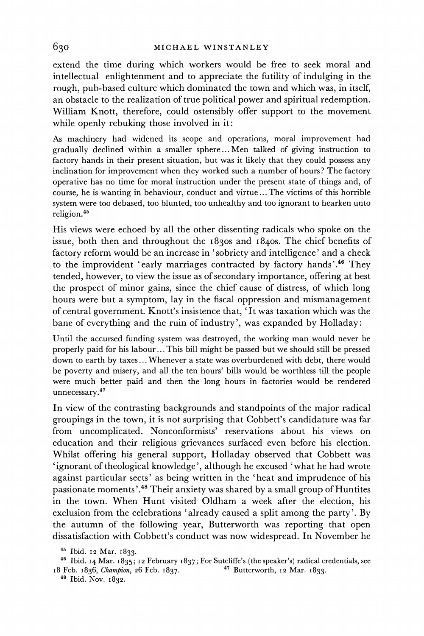# **630 MICHAEL WINSTANLEY**

**extend the time during which workers would be free to seek moral and intellectual enlightenment and to appreciate the futility of indulging in the rough, pub-based culture which dominated the town and which was, in itself, an obstacle to the realization of true political power and spiritual redemption. William Knott, therefore, could ostensibly offer support to the movement while openly rebuking those involved in it:** 

**As machinery had widened its scope and operations, moral improvement had gradually declined within a smaller sphere ... Men talked of giving instruction to factory hands in their present situation, but was it likely that they could possess any inclination for improvement when they worked such a number of hours? The factory operative has no time for moral instruction under the present state of things and, of course, he is wanting in behaviour, conduct and virtue ... The victims of this horrible system were too debased, too blunted, too unhealthy and too ignorant to hearken unto religion.45** 

**His views were echoed by all the other dissenting radicals who spoke on the issue, both then and throughout the I83os and I840s. The chief benefits of factory reform would be an increase in 'sobriety and intelligence' and a check to the improvident 'early marriages contracted by factory hands'. 46 They tended, however, to view the issue as of secondary importance, offering at best the prospect of minor gains, since the chief cause of distress, of which long hours were but a symptom, lay in the fiscal oppression and mismanagement of central government. Knott's insistence that, 'It was taxation which was the bane of everything and the ruin of industry', was expanded by Holladay:** 

**Until the accursed funding system was destroyed, the working man would never be properly paid for his labour... This bill might be passed but we should still be pressed down to earth by taxes ... Whenever a state was overburdened with debt, there would be poverty and misery, and all the ten hours' bills would be worthless till the people were much better paid and then the long hours in factories would be rendered unnecessary.47** 

**In view of the contrasting backgrounds and standpoints of the major radical groupings in the town, it is not surprising that Cobbett's candidature was far from uncomplicated. Nonconformists' reservations about his views on education and their religious grievances surfaced even before his election. Whilst offering his general support, Holladay observed that Cobbett was 'ignorant of theological knowledge', although he excused 'what he had wrote against particular sects' as being written in the 'heat and imprudence of his passionate moments'.48 Their anxiety was shared by a small group of Huntites in the town. When Hunt visited Oldham a week after the election, his exclusion from the celebrations 'already caused a split among the party'. By the autumn of the following year, Butterworth was reporting that open dissatisfaction with Cobbett's conduct was now widespread. In November he** 

**<sup>48</sup>Ibid. Nov. I832.** 

**<sup>4</sup>Ibid. I2 Mar. I833.** 

**<sup>4</sup>Ibid. I 4 Mar. I835; I2 February I837; For Sutcliffe's (the speaker's) radical credentials, see i8 Feb. I836, Champion, 26 Feb. I837. 47 Butterworth, I2 Mar. I833.**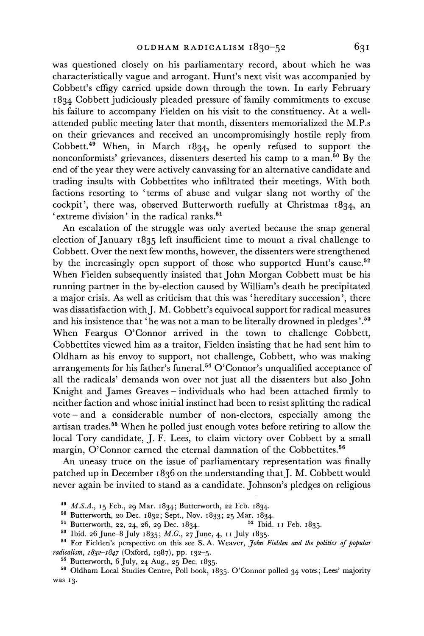**was questioned closely on his parliamentary record, about which he was characteristically vague and arrogant. Hunt's next visit was accompanied by Cobbett's effigy carried upside down through the town. In early February I834 Cobbett judiciously pleaded pressure of family commitments to excuse his failure to accompany Fielden on his visit to the constituency. At a wellattended public meeting later that month, dissenters memorialized the M.P.s on their grievances and received an uncompromisingly hostile reply from Cobbett.49 When, in March I834, he openly refused to support the nonconformists' grievances, dissenters deserted his camp to a man.50 By the end of the year they were actively canvassing for an alternative candidate and trading insults with Cobbettites who infiltrated their meetings. With both factions resorting to 'terms of abuse and vulgar slang not worthy of the cockpit', there was, observed Butterworth ruefully at Christmas I834, an 'extreme division' in the radical ranks.51** 

**An escalation of the struggle was only averted because the snap general election of January I835 left insufficient time to mount a rival challenge to Cobbett. Over the next few months, however, the dissenters were strengthened by the increasingly open support of those who supported Hunt's cause.52 When Fielden subsequently insisted that John Morgan Cobbett must be his running partner in the by-election caused by William's death he precipitated a major crisis. As well as criticism that this was 'hereditary succession', there was dissatisfaction withJ. M. Cobbett's equivocal support for radical measures and his insistence that 'he was not a man to be literally drowned in pledges'.53 When Feargus O'Connor arrived in the town to challenge Cobbett, Cobbettites viewed him as a traitor, Fielden insisting that he had sent him to Oldham as his envoy to support, not challenge, Cobbett, who was making arrangements for his father's funeral.54 O'Connor's unqualified acceptance of all the radicals' demands won over not just all the dissenters but also John Knight and James Greaves - individuals who had been attached firmly to neither faction and whose initial instinct had been to resist splitting the radical vote - and a considerable number of non-electors, especially among the artisan trades.55 When he polled just enough votes before retiring to allow the local Tory candidate, J. F. Lees, to claim victory over Cobbett by a small margin, O'Connor earned the eternal damnation of the Cobbettites.56** 

**An uneasy truce on the issue of parliamentary representation was finally patched up in December I836 on the understanding thatJ. M. Cobbett would never again be invited to stand as a candidate. Johnson's pledges on religious** 

**56 Oldham Local Studies Centre, Poll book, i835. O'Connor polled 34 votes; Lees' majority was I3.** 

**<sup>49</sup> M.S.A., I5 Feb., 29 Mar. i834; Butterworth, 22 Feb. i834.** 

**<sup>50</sup>Butterworth, 20 Dec. i832; Sept., Nov. i833; 25 Mar. i834. <sup>51</sup>Butterworth, 22, 24, 26, 29 Dec. I834. <sup>52</sup>Ibid. i i Feb. I835.** 

**<sup>53</sup>Ibid. 26 June-8 July i835; M.G., 27 June, 4, i i July i835.** 

**<sup>54</sup>For Fielden's perspective on this see S. A. Weaver, John Fielden and the politics of popular radicalism, i83-1i847 (Oxford, i987), pp. I32-5.** 

**<sup>55</sup>Butterworth, 6 July, 24 Aug., 25 Dec. i835.**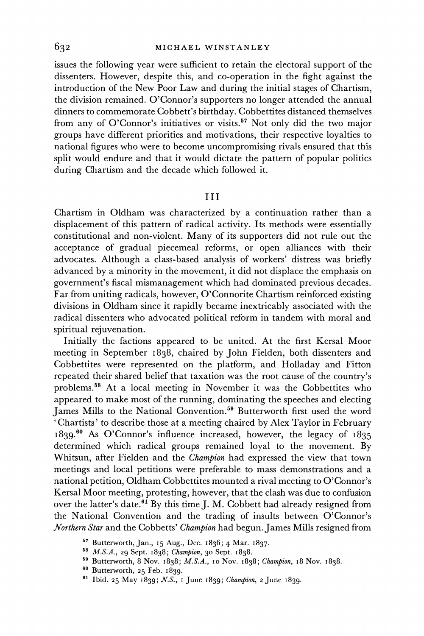**issues the following year were sufficient to retain the electoral support of the dissenters. However, despite this, and co-operation in the fight against the introduction of the New Poor Law and during the initial stages of Chartism, the division remained. O'Connor's supporters no longer attended the annual dinners to commemorate Cobbett's birthday. Cobbettites distanced themselves from any of O'Connor's initiatives or visits.57 Not only did the two major groups have different priorities and motivations, their respective loyalties to national figures who were to become uncompromising rivals ensured that this split would endure and that it would dictate the pattern of popular politics during Chartism and the decade which followed it.** 

#### **III**

**Chartism in Oldham was characterized by a continuation rather than a displacement of this pattern of radical activity. Its methods were essentially constitutional and non-violent. Many of its supporters did not rule out the acceptance of gradual piecemeal reforms, or open alliances with their advocates. Although a class-based analysis of workers' distress was briefly advanced by a minority in the movement, it did not displace the emphasis on government's fiscal mismanagement which had dominated previous decades. Far from uniting radicals, however, O'Connorite Chartism reinforced existing divisions in Oldham since it rapidly became inextricably associated with the radical dissenters who advocated political reform in tandem with moral and spiritual rejuvenation.** 

**Initially the factions appeared to be united. At the first Kersal Moor meeting in September I838, chaired by John Fielden, both dissenters and Cobbettites were represented on the platform, and Holladay and Fitton repeated their shared belief that taxation was the root cause of the country's problems.58 At a local meeting in November it was the Cobbettites who appeared to make most of the running, dominating the speeches and electing James Mills to the National Convention.59 Butterworth first used the word 'Chartists' to describe those at a meeting chaired by Alex Taylor in February I839.60 As O'Connor's influence increased, however, the legacy of I835 determined which radical groups remained loyal to the movement. By Whitsun, after Fielden and the Champion had expressed the view that town meetings and local petitions were preferable to mass demonstrations and a national petition, Oldham Cobbettites mounted a rival meeting to O'Connor's Kersal Moor meeting, protesting, however, that the clash was due to confusion over the latter's date.6' By this time J. M. Cobbett had already resigned from the National Convention and the trading of insults between O'Connor's Northern Star and the Cobbetts' Champion had begun. James Mills resigned from** 

**<sup>5</sup>Butterworth, Jan., I 5 Aug., Dec. I 836; 4 Mar. I 83 7.** 

**<sup>58</sup>M.S.A., 29 Sept. I838; Champion, 30 Sept. I838.** 

**<sup>5</sup>Butterworth, 8 Nov. I838; M.S.A., io Nov. I838; Champion, i8 Nov. I838.** 

**<sup>60</sup>Butterworth, 25 Feb. I839.** 

**<sup>61</sup>Ibid. 25 May I839; .S., I June I839; Champion, 2 June I839.**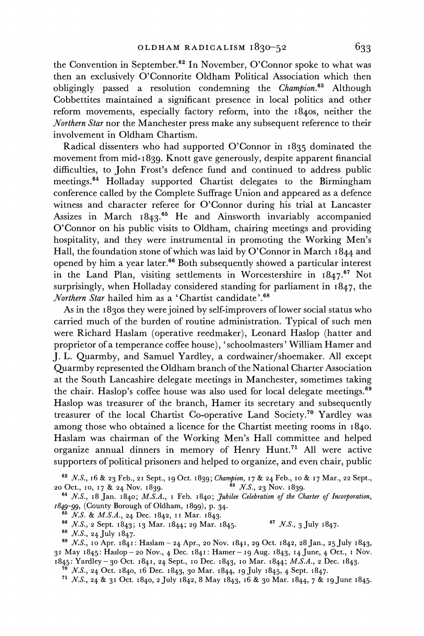**the Convention in September.62 In November, O'Connor spoke to what was then an exclusively O'Connorite Oldham Political Association which then obligingly passed a resolution condemning the Champion.63 Although Cobbettites maintained a significant presence in local politics and other reform movements, especially factory reform, into the I840s, neither the Northern Star nor the Manchester press make any subsequent reference to their involvement in Oldham Chartism.** 

**Radical dissenters who had supported O'Connor in I835 dominated the movement from mid- I 839. Knott gave generously, despite apparent financial difficulties, to John Frost's defence fund and continued to address public meetings.64 Holladay supported Chartist delegates to the Birmingham conference called by the Complete Suffrage Union and appeared as a defence witness and character referee for O'Connor during his trial at Lancaster Assizes in March I843.65 He and Ainsworth invariably accompanied O'Connor on his public visits to Oldham, chairing meetings and providing hospitality, and they were instrumental in promoting the Working Men's Hall, the foundation stone of which was laid by O'Connor in March I844 and opened by him a year later.66 Both subsequently showed a particular interest in the Land Plan, visiting settlements in Worcestershire in I847.67 Not surprisingly, when Holladay considered standing for parliament in I847, the Northern Star hailed him as a 'Chartist candidate'.68** 

**As in the I830s they were joined by self-improvers of lower social status who carried much of the burden of routine administration. Typical of such men were Richard Haslam (operative reedmaker), Leonard Haslop (hatter and proprietor of a temperance coffee house), 'schoolmasters' William Hamer and J. L. Quarmby, and Samuel Yardley, a cordwainer/shoemaker. All except Quarmby represented the Oldham branch of the National Charter Association at the South Lancashire delegate meetings in Manchester, sometimes taking the chair. Haslop's coffee house was also used for local delegate meetings.69 Haslop was treasurer of the branch, Hamer its secretary and subsequently treasurer of the local Chartist Co-operative Land Society.70 Yardley was among those who obtained a licence for the Chartist meeting rooms in I840. Haslam was chairman of the Working Men's Hall committee and helped organize annual dinners in memory of Henry Hunt.71 All were active supporters of political prisoners and helped to organize, and even chair, public** 

**<sup>62</sup>N.S., I6 & 23 Feb., 2I Sept., I9 Oct. I839; Champion, I7 & 24 Feb., Io & I7 Mar., 22 Sept., 20 Oct., IO, I7 & 24 Nov. I839. 63 N.S., 23 Nov. I839.** 

**<sup>64</sup>N'/.S., I8 Jan. I840; M.S.A., I Feb. I840; Jubilee Celebration of the Charter of Incorporation, i84"99, (County Borough of Oldham, I899), p. 34.** 

**65 N.S. & M.S.A., 24 Dec. I842, I I Mar. I843.** 

**<sup>66</sup>N.S., 2 Sept. I843; I3 Mar. I844; 29 Mar. I845- <sup>67</sup>N.S., 3 July I847-** 

**<sup>68</sup>N.S., 24July I847-** 

**<sup>69</sup>N.S., io Apr. I84I: Haslam-24 Apr., 2o Nov. I84I, 29 Oct. I842, 28Jan., 25July I843, 3I May I845: Haslop-2o Nov., 4 Dec. I84I: Hamer- I9 Aug. I843, I4June, 4 Oct., I Nov. I845: Yardley-30 Oct. I84I, 24 Sept., Io Dec. I843, Io Mar. I844; M.S.A., 2 Dec. I843.** 

**70 N.S., 24 Oct. I840, i6 Dec. I843, 30 Mar. I844, I9 July I845, 4 Sept. I847.** 

**<sup>71</sup>N.S., 24 & 3I Oct. I840, 2 July I842, 8 May I843, I6 & 30 Mar. I844, 7 & I9June I845.**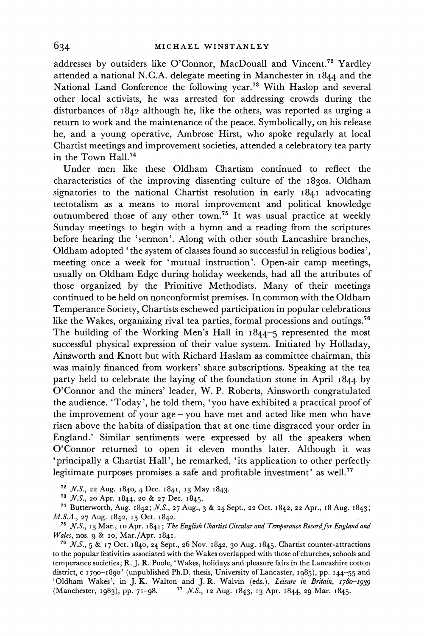**addresses by outsiders like O'Connor, MacDouall and Vincent.72 Yardley attended a national N.C.A. delegate meeting in Manchester in I844 and the National Land Conference the following year.73 With Haslop and several other local activists, he was arrested for addressing crowds during the disturbances of I842 although he, like the others, was reported as urging a return to work and the maintenance of the peace. Symbolically, on his release he, and a young operative, Ambrose Hirst, who spoke regularly at local Chartist meetings and improvement societies, attended a celebratory tea party in the Town Hall.74** 

**Under men like these Oldham Chartism continued to reflect the characteristics of the improving dissenting culture of the I830s. Oldham signatories to the national Chartist resolution in early I84I advocating teetotalism as a means to moral improvement and political knowledge outnumbered those of any other town.75 It was usual practice at weekly Sunday meetings to begin with a hymn and a reading from the scriptures before hearing the 'sermon'. Along with other south Lancashire branches, Oldham adopted 'the system of classes found so successful in religious bodies', meeting once a week for 'mutual instruction'. Open-air camp meetings, usually on Oldham Edge during holiday weekends, had all the attributes of those organized by the Primitive Methodists. Many of their meetings continued to be held on nonconformist premises. In common with the Oldham Temperance Society, Chartists eschewed participation in popular celebrations like the Wakes, organizing rival tea parties, formal processions and outings.76 The building of the Working Men's Hall in I844-5 represented the most successful physical expression of their value system. Initiated by Holladay, Ainsworth and Knott but with Richard Haslam as committee chairman, this was mainly financed from workers' share subscriptions. Speaking at the tea party held to celebrate the laying of the foundation stone in April I844 by O'Connor and the miners' leader, W. P. Roberts, Ainsworth congratulated the audience. 'Today', he told them, 'you have exhibited a practical proof of the improvement of your age - you have met and acted like men who have risen above the habits of dissipation that at one time disgraced your order in England.' Similar sentiments were expressed by all the speakers when O'Connor returned to open it eleven months later. Although it was 'principally a Chartist Hall', he remarked, 'its application to other perfectly legitimate purposes promises a safe and profitable investment' as well.77** 

**<sup>7</sup>N.S., 22 Aug. I840, 4 Dec. I84I, I3 May I843.** 

**73 .S., 20 Apr. I844, 20 & 27 Dec. I845.** 

 $74$  **Butterworth, Aug. 1842; N.S., 27 Aug., 3 & 24 Sept., 22 Oct. 1842, 22 Apr., 18 Aug. 1843; M.S.A., 27 Aug. I842, 15 Oct. I842.** 

**<sup>75</sup>N. S., I3 Mar., IO Apr. i84I; The English Chartist Circular and Temperance Recordfor England and Wales, nos. 9 & I0, Mar./Apr. I84I.** 

**76 N.S., 5 & I7 Oct. I840, 24 Sept., 26 Nov. I842, 30 Aug. I845. Chartist counter-attractions to the popular festivities associated with the Wakes overlapped with those of churches, schools and temperance societies; R. J. R. Poole, 'Wakes, holidays and pleasure fairs in the Lancashire cotton district, c I790-I890' (unpublished Ph.D. thesis, University of Lancaster, I985), pp. I44-55 and 'Oldham Wakes', in J. K. Walton and J. R. Walvin (eds.), Leisure in Britain, I780-1939 (Manchester, I983), pp. 7I-98. 7 N.S., I2 Aug. I843, I3 Apr. I844, 29 Mar. I845.**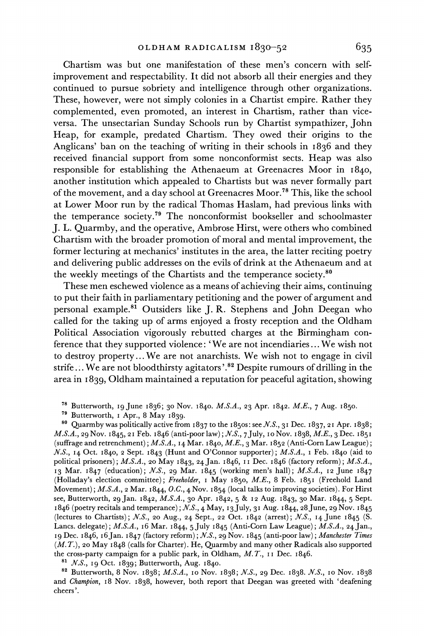**Chartism was but one manifestation of these men's concern with selfimprovement and respectability. It did not absorb all their energies and they continued to pursue sobriety and intelligence through other organizations. These, however, were not simply colonies in a Chartist empire. Rather they complemented, even promoted, an interest in Chartism, rather than viceversa. The unsectarian Sunday Schools run by Chartist sympathizer, John Heap, for example, predated Chartism. They owed their origins to the Anglicans' ban on the teaching of writing in their schools in I836 and they received financial support from some nonconformist sects. Heap was also responsible for establishing the Athenaeum at Greenacres Moor in I840, another institution which appealed to Chartists but was never formally part of the movement, and a day school at Greenacres Moor.78 This, like the school at Lower Moor run by the radical Thomas Haslam, had previous links with the temperance society.79 The nonconformist bookseller and schoolmaster J. L. Quarmby, and the operative, Ambrose Hirst, were others who combined Chartism with the broader promotion of moral and mental improvement, the former lecturing at mechanics' institutes in the area, the latter reciting poetry and delivering public addresses on the evils of drink at the Athenaeum and at the weekly meetings of the Chartists and the temperance society.80** 

**These men eschewed violence as a means of achieving their aims, continuing to put their faith in parliamentary petitioning and the power of argument and personal example.8' Outsiders like J. R. Stephens and John Deegan who called for the taking up of arms enjoyed a frosty reception and the Oldham Political Association vigorously rebutted charges at the Birmingham conference that they supported violence: 'We are not incendiaries ... We wish not to destroy property ... We are not anarchists. We wish not to engage in civil strife. .-. We are not bloodthirsty agitators '82 Despite rumours of drilling in the area in I 839, Oldham maintained a reputation for peaceful agitation, showing** 

**<sup>78</sup>Butterworth, i gJune i836; 30 Nov. I840. M.S.A., 23 Apr. i842. M.E., 7 Aug. I850.** 

**<sup>80</sup>Quarmby was politically active from I 837 to the i 85os: see N.S., 3 I Dec. I 837, 2i Apr. I838; M.S.A., 29 Nov. I 845, 2I Feb. I846 (anti-poor law); V.S., 7July, I ONov. I838, M.E., 3 Dec. I85I (suffrage and retrenchment); M.S.A., I4 Mar. I840, M.E., 3 Mar. i852 (Anti-Corn Law League); N.S., I4 Oct. I840, 2 Sept. i843 (Hunt and O'Connor supporter); M.S.A., i Feb. I840 (aid to political prisoners); M.S.A., 20 May I843, 24 Jan. I 846, i i Dec. I 846 (factory reform); M.S.A., 13 Mar. i847 (education); V.S., 29 Mar. i845 (working men's hall); M.S.A., I2 June i847 (Holladay's election committee); Freeholder, IMay i850, M.E., 8 Feb. i85I (Freehold Land Movement); M.S.A., 2 Mar. I 844, 0G.C, 4 Nov. I 854 (local talks to improving societies). For Hirst see, Butterworth, 29Jan. i842, M.S.A., 30 Apr. i842, 5 & I2 Aug. i843, 30 Mar. i844, 5 Sept. i846 (poetry recitals and temperance); V.S., 4 May, I3July, 3i Aug. i844, 28June, 29 Nov. i845 (lectures to Chartists); V.S., 20 Aug., 24 Sept., 22 Oct. i842 (arrest); V.S., I4 June i845 (S. Lancs. delegate); M.S.A., i6 Mar. i844, 5 July i845 (Anti-Corn Law League); M.S.A., 24 Jan., I 9 Dec. I 846, i 6Jan. I 847 (factory reform); NV.S., 29 Nov. I 845 (anti-poor law); Manchester Times (M. T.), 20 May i848 (calls for Charter). He, Quarmby and many other Radicals also supported the cross-party campaign for a public park, in Oldham, M. T., iI Dec. i846.** 

**<sup>8</sup>V.S., I9 Oct. I839; Butterworth, Aug. I840.** 

**<sup>82</sup>Butterworth, 8 Nov. i838; M.S.A., iO Nov. i838; V.S., 29 Dec. i838. V.S., iO Nov. i838 and Champion, i8 Nov. i838, however, both report that Deegan was greeted with 'deafening cheers'.** 

**<sup>79</sup>Butterworth, I Apr., 8 May I839.**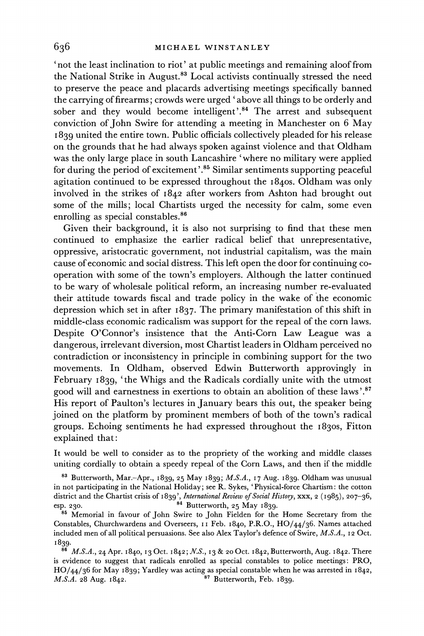**' not the least inclination to riot' at public meetings and remaining aloof from the National Strike in August.83 Local activists continually stressed the need to preserve the peace and placards advertising meetings specifically banned the carrying of firearms; crowds were urged ' above all things to be orderly and**  sober and they would become intelligent<sup>2,84</sup> The arrest and subsequent **conviction of John Swire for attending a meeting in Manchester on 6 May I 839 united the entire town. Public officials collectively pleaded for his release on the grounds that he had always spoken against violence and that Oldham was the only large place in south Lancashire 'where no military were applied for during the period of excitement'.85 Similar sentiments supporting peaceful agitation continued to be expressed throughout the I840s. Oldham was only involved in the strikes of I842 after workers from Ashton had brought out some of the mills; local Chartists urged the necessity for calm, some even enrolling as special constables.86** 

**Given their background, it is also not surprising to find that these men continued to emphasize the earlier radical belief that unrepresentative, oppressive, aristocratic government, not industrial capitalism, was the main cause of economic and social distress. This left open the door for continuing cooperation with some of the town's employers. Although the latter continued to be wary of wholesale political reform, an increasing number re-evaluated their attitude towards fiscal and trade policy in the wake of the economic depression which set in after I837. The primary manifestation of this shift in middle-class economic radicalism was support for the repeal of the corn laws. Despite O'Connor's insistence that the Anti-Corn Law League was a dangerous, irrelevant diversion, most Chartist leaders in Oldham perceived no contradiction or inconsistency in principle in combining support for the two movements. In Oldham, observed Edwin Butterworth approvingly in February I839, 'the Whigs and the Radicals cordially unite with the utmost good will and earnestness in exertions to obtain an abolition of these laws'.87 His report of Paulton's lectures in January bears this out, the speaker being joined on the platform by prominent members of both of the town's radical groups. Echoing sentiments he had expressed throughout the I83os, Fitton explained that:** 

**It would be well to consider as to the propriety of the working and middle classes uniting cordially to obtain a speedy repeal of the Corn Laws, and then if the middle** 

**83 Butterworth, Mar.-Apr., I839, 25 May I839; M.S.A., I7 Aug. I839. Oldham was unusual in not participating in the National Holiday; see R. Sykes, 'Physical-force Chartism: the cotton district and the Chartist crisis of I 839', International Review of Social History, XXX, 2 (I985), 207-36, esp. 230. 84 Butterworth, 25 May i839.** 

**85 Atlands 85 Memorial in favour of John Swire to John Fielden for the Home Secretary from the**<br><sup>85</sup> Memorial in favour of John Swire to John Fielden for the Home Secretary from the **Constables, Churchwardens and Overseers, i i Feb. I840, P.R.O., HO/44/36. Names attached included men of all political persuasions. See also Alex Taylor's defence of Swire, M.S.A., I 2 Oct. I 839.** 

<sup>86</sup> М.S.A., 24 Apr. 1840, 13 Oct. 1842; N.S., 13 & 20 Oct. 1842, Butterworth, Aug. 1842. There **is evidence to suggest that radicals enrolled as special constables to police meetings: PRO, HO/44/36 for May I839; Yardley was acting as special constable when he was arrested in i842, M.S.A. 28 Aug. i842. 87 Butterworth, Feb. i839.**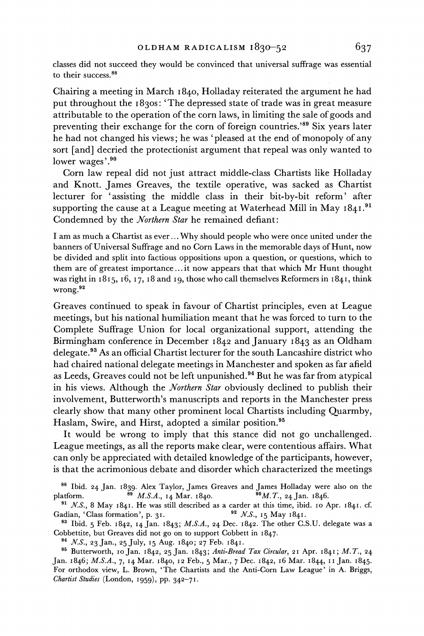**classes did not succeed they would be convinced that universal suffrage was essential to their success.88** 

**Chairing a meeting in March I 840, Holladay reiterated the argument he had put throughout the I 83os: 'The depressed state of trade was in great measure attributable to the operation of the corn laws, in limiting the sale of goods and preventing their exchange for the corn of foreign countries.'89 Six years later he had not changed his views; he was 'pleased at the end of monopoly of any sort [and] decried the protectionist argument that repeal was only wanted to lower wages'.90** 

**Corn law repeal did not just attract middle-class Chartists like Holladay and Knott. James Greaves, the textile operative, was sacked as Chartist lecturer for 'assisting the middle class in their bit-by-bit reform' after**  supporting the cause at a League meeting at Waterhead Mill in May 1841.<sup>91</sup> **Condemned by the Northern Star he remained defiant:** 

**I am as much a Chartist as ever .. . Why should people who were once united under the banners of Universal Suffrage and no Corn Laws in the memorable days of Hunt, now be divided and split into factious oppositions upon a question, or questions, which to them are of greatest importance ... it now appears that that which Mr Hunt thought**   $\mathbf{w}$  as right in  $\mathbf{1815}$ ,  $\mathbf{16}$ ,  $\mathbf{17}$ ,  $\mathbf{18}$  and  $\mathbf{19}$ , those who call themselves Reformers in  $\mathbf{1841}$ , think **wrong.92** 

**Greaves continued to speak in favour of Chartist principles, even at League meetings, but his national humiliation meant that he was forced to turn to the Complete Suffrage Union for local organizational support, attending the Birmingham conference in December I842 and January I843 as an Oldham delegate.93 As an official Chartist lecturer for the south Lancashire district who had chaired national delegate meetings in Manchester and spoken as far afield as Leeds, Greaves could not be left unpunished.94 But he was far from atypical in his views. Although the Northern Star obviously declined to publish their involvement, Butterworth's manuscripts and reports in the Manchester press clearly show that many other prominent local Chartists including Quarmby, Haslam, Swire, and Hirst, adopted a similar position.95** 

**It would be wrong to imply that this stance did not go unchallenged. League meetings, as all the reports make clear, were contentious affairs. What can only be appreciated with detailed knowledge of the participants, however, is that the acrimonious debate and disorder which characterized the meetings** 

**<sup>9</sup>Ibid. 5 Feb. i842, I4 Jan. i843; M.S.A., 24 Dec. i842. The other C.S.U. delegate was a Cobbettite, but Greaves did not go on to support Cobbett in i847.** 

**JV.S., 23 Jan., 25 July, I5 Aug. I840; 27 Feb. I84I.** 

**<sup>9</sup>Butterworth, io Jan. i842, 25 Jan. i843; Anti-Bread Tax Circular, 2i Apr. i84I; M. T., <sup>24</sup> Jan. I846; M.S.A., 7, I4 Mar. I840, I2 Feb., 5 Mar., 7 Dec. I842, i6 Mar. I844, i iJan. I845. For orthodox view, L. Brown, 'The Chartists and the Anti-Corn Law League' in A. Briggs, Chartist Studies (London, I 959), pp. 342-7 I .** 

**<sup>88</sup> Ibid. 24 Jan. I839. Alex Taylor, James Greaves and James Holladay were also on the platform. 89** *M.S.A.*, 14 Mar. 1840.

**<sup>91</sup>** *N.S.*, 8 May 1841. He was still described as a carder at this time, ibid. 10 Apr. 1841. cf. adian, 'Class formation', p. 31.  $\frac{92 \text{ } M.S., 15 \text{ } May \text{ } 1841.}$ Gadian, 'Class formation', p. 31.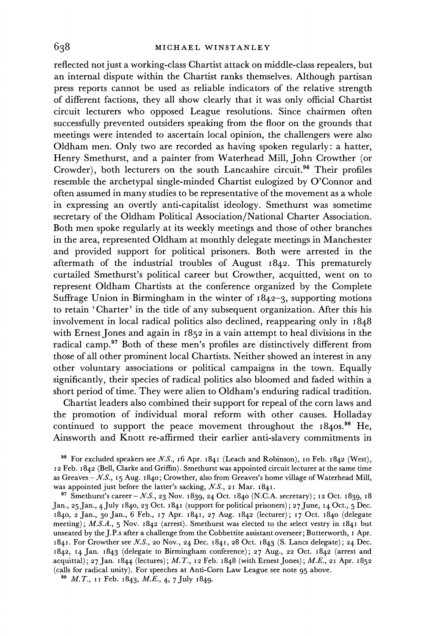# **638 MICHAEL WINSTANLEY**

**reflected notjust a working-class Chartist attack on middle-class repealers, but an internal dispute within the Chartist ranks themselves. Although partisan press reports cannot be used as reliable indicators of the relative strength of different factions, they all show clearly that it was only official Chartist circuit lecturers who opposed League resolutions. Since chairmen often successfully prevented outsiders speaking from the floor on the grounds that meetings were intended to ascertain local opinion, the challengers were also Oldham men. Only two are recorded as having spoken regularly: a hatter, Henry Smethurst, and a painter from Waterhead Mill, John Crowther (or Crowder), both lecturers on the south Lancashire circuit.96 Their profiles resemble the archetypal single-minded Chartist eulogized by O'Connor and often assumed in many studies to be representative of the movement as a whole in expressing an overtly anti-capitalist ideology. Smethurst was sometime secretary of the Oldham Political Association/National Charter Association. Both men spoke regularly at its weekly meetings and those of other branches in the area, represented Oldham at monthly delegate meetings in Manchester and provided support for political prisoners. Both were arrested in the aftermath of the industrial troubles of August I842. This prematurely curtailed Smethurst's political career but Crowther, acquitted, went on to represent Oldham Chartists at the conference organized by the Complete Suffrage Union in Birmingham in the winter of I842-3, supporting motions to retain 'Charter' in the title of any subsequent organization. After this his involvement in local radical politics also declined, reappearing only in I848 with Ernest Jones and again in r852 in a vain attempt to heal divisions in the radical camp.97 Both of these men's profiles are distinctively different from those of all other prominent local Chartists. Neither showed an interest in any other voluntary associations or political campaigns in the town. Equally significantly, their species of radical politics also bloomed and faded within a short period of time. They were alien to Oldham's enduring radical tradition.** 

**Chartist leaders also combined their support for repeal of the corn laws and the promotion of individual moral reform with other causes. Holladay**  continued to support the peace movement throughout the  $1840s$ .<sup>98</sup> He, **Ainsworth and Knott re-affirmed their earlier anti-slavery commitments in** 

<sup>96</sup> For excluded speakers see N.S., 16 Apr. 1841 (Leach and Robinson), 10 Feb. 1842 (West), **I 2 Feb. I 842 (Bell, Clarke and Griffin). Smethurst was appointed circuit lecturer at the same time as Greaves - N.S., I 5 Aug. I 840; Crowther, also from Greaves's home village of Waterhead Mill, was appointed just before the latter's sacking, N.S., 2I Mar. i84I.** 

**<sup>9</sup>Smethurst's career - V.S., 23 Nov. I839, 24 Oct. I840 (N.C.A. secretary); I2 Oct. I839, i8 Jan., 25 Jan., 4July I840, 23 Oct. i84I (support for political prisoners); 27 June, I4 Oct., 5 Dec. I840, 2 Jan., 30 Jan., 6 Feb., I7 Apr. i84I, 27 Aug. i842 (lecturer); I7 Oct. I840 (delegate**  meeting); M.S.A., 5 Nov. 1842 (arrest). Smethurst was elected to the select vestry in 1841 but **unseated by theJ.P.s after a challenge from the Cobbettite assistant overseer; Butterworth, i Apr. i84I. For Crowther see N.S., 20 Nov., 24 Dec. i84I, 28 Oct. i843 (S. Lancs delegate); 24 Dec. i842, I4 Jan. i843 (delegate to Birmingham conference); 27 Aug., 22 Oct. i842 (arrest and acquittal); 27Jan. i844 (lectures); M.T., I2 Feb. i848 (with ErnestJones); M.E., 2i Apr. i852 (calls for radical unity). For speeches at Anti-Corn Law League see note 95 above.** 

**98 M.T., ii Feb. i843, M.E., 4, 7 July I849.**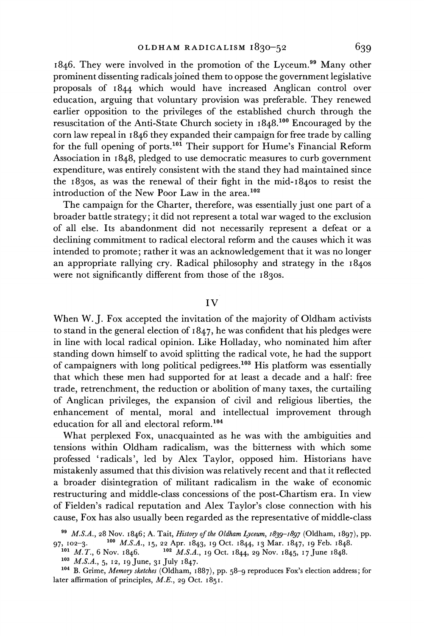**I846. They were involved in the promotion of the Lyceum.99 Many other prominent dissenting radicals joined them to oppose the government legislative proposals of I 844 which would have increased Anglican control over education, arguing that voluntary provision was preferable. They renewed earlier opposition to the privileges of the established church through the resuscitation of the Anti-State Church society in i848.100 Encouraged by the corn law repeal in I 846 they expanded their campaign for free trade by calling for the full opening of ports.'0' Their support for Hume's Financial Reform Association in I848, pledged to use democratic measures to curb government expenditure, was entirely consistent with the stand they had maintained since the I83os, as was the renewal of their fight in the mid- i84os to resist the introduction of the New Poor Law in the area.'02** 

**The campaign for the Charter, therefore, was essentially just one part of a broader battle strategy; it did not represent a total war waged to the exclusion of all else. Its abandonment did not necessarily represent a defeat or a declining commitment to radical electoral reform and the causes which it was intended to promote; rather it was an acknowledgement that it was no longer an appropriate rallying cry. Radical philosophy and strategy in the I840S were not significantly different from those of the I83os.** 

#### **Iv**

**When W. J. Fox accepted the invitation of the majority of Oldham activists to stand in the general election of I847, he was confident that his pledges were in line with local radical opinion. Like Holladay, who nominated him after standing down himself to avoid splitting the radical vote, he had the support of campaigners with long political pedigrees.103 His platform was essentially that which these men had supported for at least a decade and a half: free trade, retrenchment, the reduction or abolition of many taxes, the curtailing of Anglican privileges, the expansion of civil and religious liberties, the enhancement of mental, moral and intellectual improvement through education for all and electoral reform.'04** 

**What perplexed Fox, unacquainted as he was with the ambiguities and tensions within Oldham radicalism, was the bitterness with which some professed 'radicals', led by Alex Taylor, opposed him. Historians have mistakenly assumed that this division was relatively recent and that it reflected a broader disintegration of militant radicalism in the wake of economic restructuring and middle-class concessions of the post-Chartism era. In view of Fielden's radical reputation and Alex Taylor's close connection with his cause, Fox has also usually been regarded as the representative of middle-class** 

<sup>102</sup> M.S.A., 19 Oct. 1844, 29 Nov. 1845, 17 June 1848.

**<sup>103</sup>M.S.A., 5, I2, i9 June, 3I July I847.** 

**<sup>104</sup>B. Grime, Memory sketches (Oldham, I887), pp. 58-9 reproduces Fox's election address; for later affirmation of principles, M.E., 29 Oct. I85 I .** 

**<sup>9</sup> M.S.A., 28 Nov. I846; A. Tait, History of the Oldham Lyceum, i839-i897 (Oldham, I897), pp. 97, I02-3. .00 M.S.A., I5, 22 Apr. I843, I9 Oct. I844, I3 Mar. I847, I9 Feb. I848.**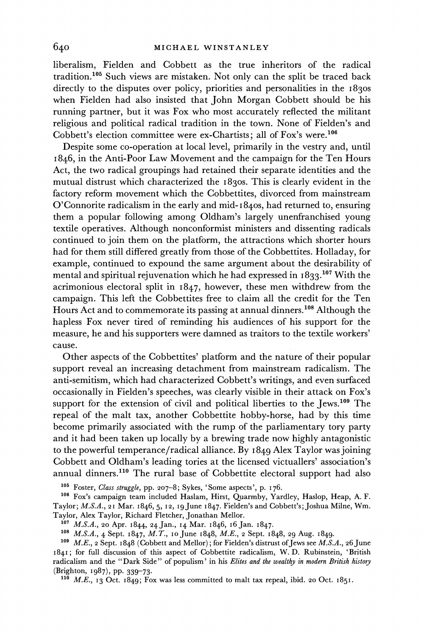**liberalism, Fielden and Cobbett as the true inheritors of the radical tradition.'05 Such views are mistaken. Not only can the split be traced back directly to the disputes over policy, priorities and personalities in the I830s when Fielden had also insisted that John Morgan Cobbett should be his running partner, but it was Fox who most accurately reflected the militant religious and political radical tradition in the town. None of Fielden's and Cobbett's election committee were ex-Chartists; all of Fox's were.'06** 

**Despite some co-operation at local level, primarily in the vestry and, until I846, in the Anti-Poor Law Movement and the campaign for the Ten Hours Act, the two radical groupings had retained their separate identities and the mutual distrust which characterized the I830S. This is clearly evident in the factory reform movement which the Cobbettites, divorced from mainstream O'Connorite radicalism in the early and mid- i84os, had returned to, ensuring them a popular following among Oldham's largely unenfranchised young textile operatives. Although nonconformist ministers and dissenting radicals continued to join them on the platform, the attractions which shorter hours had for them still differed greatly from those of the Cobbettites. Holladay, for example, continued to expound the same argument about the desirability of mental and spiritual rejuvenation which he had expressed in i833.107 With the acrimonious electoral split in I847, however, these men withdrew from the campaign. This left the Cobbettites free to claim all the credit for the Ten Hours Act and to commemorate its passing at annual dinners.'08 Although the hapless Fox never tired of reminding his audiences of his support for the measure, he and his supporters were damned as traitors to the textile workers' cause.** 

**Other aspects of the Cobbettites' platform and the nature of their popular support reveal an increasing detachment from mainstream radicalism. The anti-semitism, which had characterized Cobbett's writings, and even surfaced occasionally in Fielden's speeches, was clearly visible in their attack on Fox's support for the extension of civil and political liberties to the Jews.'09 The repeal of the malt tax, another Cobbettite hobby-horse, had by this time become primarily associated with the rump of the parliamentary tory party and it had been taken up locally by a brewing trade now highly antagonistic to the powerful temperance/radical alliance. By I849 Alex Taylor was joining Cobbett and Oldham's leading tories at the licensed victuallers' association's annual dinners."0 The rural base of Cobbettite electoral support had also** 

**<sup>105</sup>Foster, Class struggle, pp. 207-8; Sykes, 'Some aspects', p. I76.** 

**<sup>106</sup>Fox's campaign team included Haslam, Hirst, Quarmby, Yardley, Haslop, Heap, A. F. Taylor; M.S.A., 2I Mar. i846, 5, I2, i9 June i847. Fielden's and Cobbett's;Joshua Milne, Wm. Taylor, Alex Taylor, Richard Fletcher, Jonathan Mellor.** 

**<sup>107</sup>M.S.A., 20 Apr. I844, 24 Jan., I4 Mar. I846, i6Jan. I847.** 

**<sup>108</sup>M.S.A., 4 Sept. I 847, M. T., io June I 848, M.E., 2 Sept. I 848, 29 Aug. I 849.** 

<sup>109</sup> M.E., 2 Sept. 1848 (Cobbett and Mellor); for Fielden's distrust of Jews see M.S.A., 26 June **i84I; for full discussion of this aspect of Cobbettite radicalism, W. D. Rubinstein, 'British radicalism and the "Dark Side" of populism' in his Elites and the wealthy in modern British history (Brighton, I987), pp. 339-73.** 

**110 M.E., i3 Oct. I849; Fox was less committed to malt tax repeal, ibid. 20 Oct. i85I.**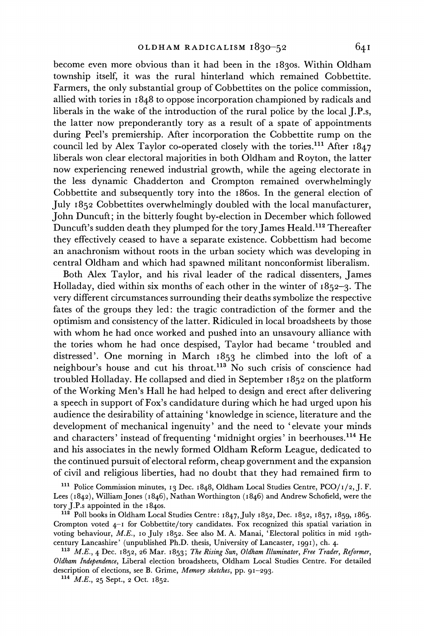**become even more obvious than it had been in the I830s. Within Oldham township itself, it was the rural hinterland which remained Cobbettite. Farmers, the only substantial group of Cobbettites on the police commission, allied with tories in I 848 to oppose incorporation championed by radicals and liberals in the wake of the introduction of the rural police by the local J.P.s, the latter now preponderantly tory as a result of a spate of appointments during Peel's premiership. After incorporation the Cobbettite rump on the council led by Alex Taylor co-operated closely with the tories."' After I847 liberals won clear electoral majorities in both Oldham and Royton, the latter now experiencing renewed industrial growth, while the ageing electorate in the less dynamic Chadderton and Crompton remained overwhelmingly Cobbettite and subsequently tory into the i86os. In the general election of July I852 Cobbettites overwhelmingly doubled with the local manufacturer, John Duncuft; in the bitterly fought by-election in December which followed Duncuft's sudden death they plumped for the tory James Heald."12 Thereafter they effectively ceased to have a separate existence. Cobbettism had become an anachronism without roots in the urban society which was developing in central Oldham and which had spawned militant nonconformist liberalism.** 

**Both Alex Taylor, and his rival leader of the radical dissenters, James Holladay, died within six months of each other in the winter of I852-3. The very different circumstances surrounding their deaths symbolize the respective fates of the groups they led: the tragic contradiction of the former and the optimism and consistency of the latter. Ridiculed in local broadsheets by those with whom he had once worked and pushed into an unsavoury alliance with the tories whom he had once despised, Taylor had became 'troubled and distressed'. One morning in March I853 he climbed into the loft of a neighbour's house and cut his throat."3 No such crisis of conscience had troubled Holladay. He collapsed and died in September I852 on the platform of the Working Men's Hall he had helped to design and erect after delivering a speech in support of Fox's candidature during which he had urged upon his audience the desirability of attaining 'knowledge in science, literature and the development of mechanical ingenuity' and the need to 'elevate your minds**  and characters' instead of frequenting 'midnight orgies' in beerhouses.<sup>114</sup> He **and his associates in the newly formed Oldham Reform League, dedicated to the continued pursuit of electoral reform, cheap government and the expansion of civil and religious liberties, had no doubt that they had remained firm to** 

<sup>111</sup> Police Commission minutes, 13 Dec. 1848, Oldham Local Studies Centre, PCO/1/2, J. F. **Lees (i 842), William Jones (i 846), Nathan Worthington (I 846) and Andrew Schofield, were the tory J.P.s appointed in the I840s.** 

**<sup>112</sup>Poll books in Oldham Local Studies Centre: I 847, July I 852, Dec. I 852, I 857, I 859, I 865. Crompton voted 4-I for Cobbettite/tory candidates. Fox recognized this spatial variation in voting behaviour, M.E., io July i852. See also M. A. Manai, 'Electoral politics in mid igth**century Lancashire' (unpublished Ph.D. thesis, University of Lancaster, 1991), ch. 4.

**<sup>113</sup>M.E., 4 Dec. i852, 26 Mar. i853; The Rising Sun, Oldham Illuminator, Free Trader, Reformer, Oldham Independence, Liberal election broadsheets, Oldham Local Studies Centre. For detailed description of elections, see B. Grime, Memory sketches, pp. 9I-293.** 

**114 ME., 25 Sept., 2 Oct. i852.**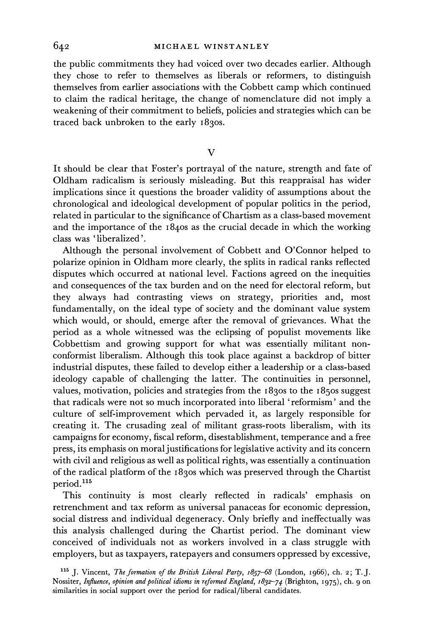#### **642 MICHAEL WINSTANLEY**

**the public commitments they had voiced over two decades earlier. Although they chose to refer to themselves as liberals or reformers, to distinguish themselves from earlier associations with the Cobbett camp which continued to claim the radical heritage, the change of nomenclature did not imply a weakening of their commitment to beliefs, policies and strategies which can be traced back unbroken to the early I830s.** 

#### **V**

**It should be clear that Foster's portrayal of the nature, strength and fate of Oldham radicalism is seriously misleading. But this reappraisal has wider implications since it questions the broader validity of assumptions about the chronological and ideological development of popular politics in the period, related in particular to the significance of Chartism as a class-based movement and the importance of the I840s as the crucial decade in which the working class was 'liberalized'.** 

**Although the personal involvement of Cobbett and O'Connor helped to polarize opinion in Oldham more clearly, the splits in radical ranks reflected disputes which occurred at national level. Factions agreed on the inequities and consequences of the tax burden and on the need for electoral reform, but they always had contrasting views on strategy, priorities and, most fundamentally, on the ideal type of society and the dominant value system which would, or should, emerge after the removal of grievances. What the period as a whole witnessed was the eclipsing of populist movements like Cobbettism and growing support for what was essentially militant nonconformist liberalism. Although this took place against a backdrop of bitter industrial disputes, these failed to develop either a leadership or a class-based ideology capable of challenging the latter. The continuities in personnel, values, motivation, policies and strategies from the I830S to the I850S suggest that radicals were not so much incorporated into liberal 'reformism' and the culture of self-improvement which pervaded it, as largely responsible for creating it. The crusading zeal of militant grass-roots liberalism, with its campaigns for economy, fiscal reform, disestablishment, temperance and a free press, its emphasis on moral justifications for legislative activity and its concern with civil and religious as well as political rights, was essentially a continuation of the radical platform of the I830S which was preserved through the Chartist period."15** 

**This continuity is most clearly reflected in radicals' emphasis on retrenchment and tax reform as universal panaceas for economic depression, social distress and individual degeneracy. Only briefly and ineffectually was this analysis challenged during the Chartist period. The dominant view conceived of individuals not as workers involved in a class struggle with employers, but as taxpayers, ratepayers and consumers oppressed by excessive,** 

**<sup>115</sup>J. Vincent, The formation of the British Liberal Party, i857-68 (London, I966), ch. 2; T.J.**  Nossiter, Influence, opinion and political idioms in reformed England, 1832-74 (Brighton, 1975), ch. 9 on **similarities in social support over the period for radical/liberal candidates.**